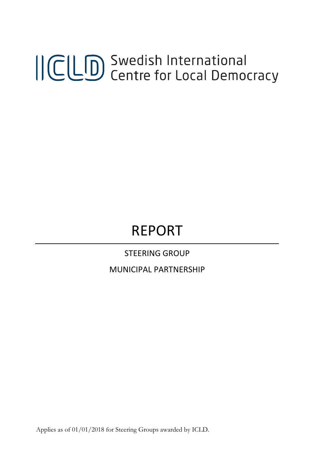# ICLD Swedish International<br>ICLD Centre for Local Democracy

## REPORT

STEERING GROUP

MUNICIPAL PARTNERSHIP

Applies as of 01/01/2018 for Steering Groups awarded by ICLD.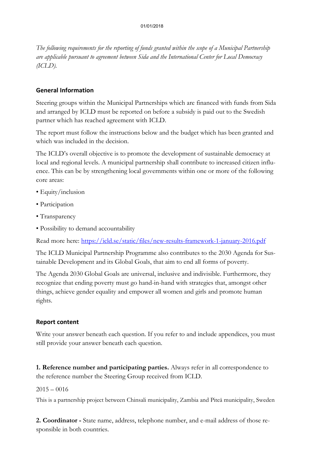*The following requirements for the reporting of funds granted within the scope of a Municipal Partnership are applicable pursuant to agreement between Sida and the International Center for Local Democracy (ICLD).*

#### **General Information**

Steering groups within the Municipal Partnerships which are financed with funds from Sida and arranged by ICLD must be reported on before a subsidy is paid out to the Swedish partner which has reached agreement with ICLD.

The report must follow the instructions below and the budget which has been granted and which was included in the decision.

The ICLD's overall objective is to promote the development of sustainable democracy at local and regional levels. A municipal partnership shall contribute to increased citizen influence. This can be by strengthening local governments within one or more of the following core areas:

- Equity/inclusion
- Participation
- Transparency
- Possibility to demand accountability

Read more here:<https://icld.se/static/files/new-results-framework-1-january-2016.pdf>

The ICLD Municipal Partnership Programme also contributes to the 2030 Agenda for Sustainable Development and its Global Goals, that aim to end all forms of poverty.

The Agenda 2030 Global Goals are universal, inclusive and indivisible. Furthermore, they recognize that ending poverty must go hand-in-hand with strategies that, amongst other things, achieve gender equality and empower all women and girls and promote human rights.

#### **Report content**

Write your answer beneath each question. If you refer to and include appendices, you must still provide your answer beneath each question.

**1. Reference number and participating parties.** Always refer in all correspondence to the reference number the Steering Group received from ICLD.

#### $2015 - 0016$

This is a partnership project between Chinsali municipality, Zambia and Piteå municipality, Sweden

**2. Coordinator -** State name, address, telephone number, and e-mail address of those responsible in both countries.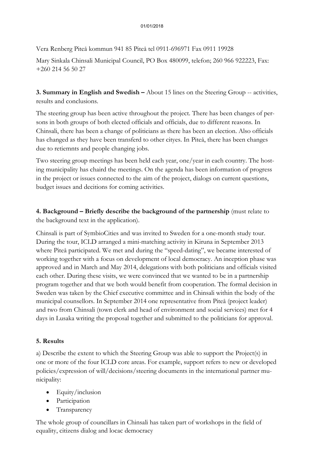Vera Renberg Piteå kommun 941 85 Piteå tel 0911-696971 Fax 0911 19928

Mary Sinkala Chinsali Municipal Council, PO Box 480099, telefon; 260 966 922223, Fax: +260 214 56 50 27

**3. Summary in English and Swedish –** About 15 lines on the Steering Group -- activities, results and conclusions.

The steering group has been active throughout the project. There has been changes of persons in both groups of both elected officials and officials, due to different reasons. In Chinsali, there has been a change of politicians as there has been an election. Also officials has changed as they have been transferd to other cityes. In Piteå, there has been changes due to retiemnts and people changing jobs.

Two steering group meetings has been held each year, one/year in each country. The hosting municipality has chaird the meetings. On the agenda has been information of progress in the project or issues connected to the aim of the project, dialogs on current questions, budget issues and decitions for coming activities.

**4. Background – Briefly describe the background of the partnership** (must relate to the background text in the application).

Chinsali is part of SymbioCities and was invited to Sweden for a one-month study tour. During the tour, ICLD arranged a mini-matching activity in Kiruna in September 2013 where Piteå participated. We met and during the "speed-dating", we became interested of working together with a focus on development of local democracy. An inception phase was approved and in March and May 2014, delegations with both politicians and officials visited each other. During these visits, we were convinced that we wanted to be in a partnership program together and that we both would benefit from cooperation. The formal decision in Sweden was taken by the Chief executive committee and in Chinsali within the body of the municipal counsellors. In September 2014 one representative from Piteå (project leader) and two from Chinsali (town clerk and head of environment and social services) met for 4 days in Lusaka writing the proposal together and submitted to the politicians for approval.

#### **5. Results**

a) Describe the extent to which the Steering Group was able to support the Project(s) in one or more of the four ICLD core areas. For example, support refers to new or developed policies/expression of will/decisions/steering documents in the international partner municipality:

- Equity/inclusion
- Participation
- Transparency

The whole group of councillars in Chinsali has taken part of workshops in the field of equality, citizens dialog and locac democracy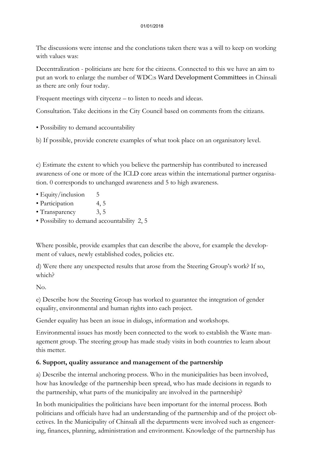#### 01/01/2018

The discussions were intense and the conclutions taken there was a will to keep on working with values was:

Decentralization - politicians are here for the citizens. Connected to this we have an aim to put an work to enlarge the number of WDC:s Ward Development Committees in Chinsali as there are only four today.

Frequent meetings with citycenz – to listen to needs and ideeas.

Consultation. Take decitions in the City Council based on comments from the citizans.

• Possibility to demand accountability

b) If possible, provide concrete examples of what took place on an organisatory level.

c) Estimate the extent to which you believe the partnership has contributed to increased awareness of one or more of the ICLD core areas within the international partner organisation. 0 corresponds to unchanged awareness and 5 to high awareness.

- Equity/inclusion 5
- Participation 4, 5
- Transparency 3, 5
- Possibility to demand accountability 2, 5

Where possible, provide examples that can describe the above, for example the development of values, newly established codes, policies etc.

d) Were there any unexpected results that arose from the Steering Group's work? If so, which?

No.

e) Describe how the Steering Group has worked to guarantee the integration of gender equality, environmental and human rights into each project.

Gender equality has been an issue in dialogs, information and workshops.

Environmental issues has mostly been connected to the work to establish the Waste management group. The steering group has made study visits in both countries to learn about this metter.

### **6. Support, quality assurance and management of the partnership**

a) Describe the internal anchoring process. Who in the municipalities has been involved, how has knowledge of the partnership been spread, who has made decisions in regards to the partnership, what parts of the municipality are involved in the partnership?

In both municipalities the politicians have been important for the internal process. Both politicians and officials have had an understanding of the partnership and of the project obcetives. In the Municipality of Chinsali all the departments were involved such as engeneering, finances, planning, administration and environment. Knowledge of the partnership has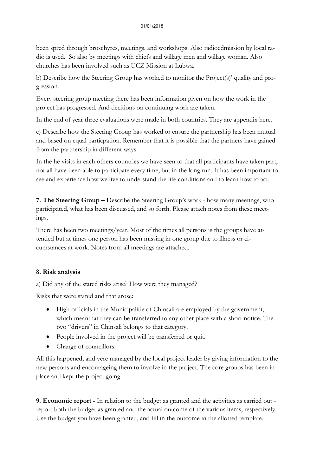been spred through broschyres, meetings, and workshops. Also radioedmission by local radio is used. So also by meetings with chiefs and willage men and willage woman. Also churches has been involved such as UCZ Mission at Lubwa.

b) Describe how the Steering Group has worked to monitor the Project(s)' quality and progression.

Every steering group meeting there has been information given on how the work in the project has progressed. And decitions on continuing work are taken.

In the end of year three evaluations were made in both countries. They are appendix here.

c) Describe how the Steering Group has worked to ensure the partnership has been mutual and based on equal particpation. Remember that it is possible that the partners have gained from the partnership in different ways.

In the he visits in each others countries we have seen to that all participants have taken part, not all have been able to participate every time, but in the long run. It has been important to see and experience how we live to understand the life conditions and to learn how to act.

**7. The Steering Group –** Describe the Steering Group's work - how many meetings, who participated, what has been discussed, and so forth. Please attach notes from these meetings.

There has been two meetings/year. Most of the times all persons is the groups have attended but at times one person has been missing in one group due to illness or cicumstances at work. Notes from all meetings are attached.

#### **8. Risk analysis**

a) Did any of the stated risks arise? How were they managed?

Risks that were stated and that arose:

- High officials in the Municipalitie of Chinsali are employed by the government, which meanthat they can be transferred to any other place with a short notice. The two "drivers" in Chinsali belongs to that category.
- People involved in the project will be transferred or quit.
- Change of councillors.

All this happened, and vere managed by the local project leader by giving information to the new persons and encourageing them to involve in the project. The core groups has been in place and kept the project going.

**9. Economic report -** In relation to the budget as granted and the activities as carried out report both the budget as granted and the actual outcome of the various items, respectively. Use the budget you have been granted, and fill in the outcome in the allotted template.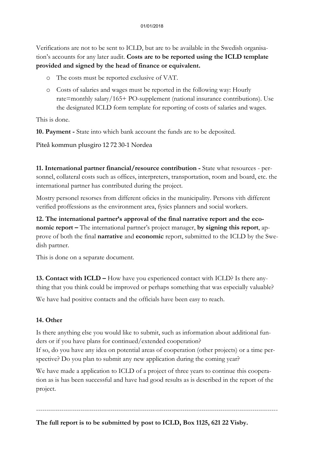Verifications are not to be sent to ICLD, but are to be available in the Swedish organisation's accounts for any later audit. **Costs are to be reported using the ICLD template provided and signed by the head of finance or equivalent.**

- o The costs must be reported exclusive of VAT.
- o Costs of salaries and wages must be reported in the following way: Hourly rate=monthly salary/165+ PO-supplement (national insurance contributions). Use the designated ICLD form template for reporting of costs of salaries and wages.

This is done.

**10. Payment -** State into which bank account the funds are to be deposited.

Piteå kommun plusgiro 12 72 30-1 Nordea

**11. International partner financial/resource contribution -** State what resources - personnel, collateral costs such as offices, interpreters, transportation, room and board, etc. the international partner has contributed during the project.

Mostry personel resorses from different oficies in the municipality. Persons vith different verified proffessions as the environment area, fysics planners and social workers.

**12. The international partner's approval of the final narrative report and the economic report –** The international partner's project manager, **by signing this report**, approve of both the final **narrative** and **economic** report, submitted to the ICLD by the Swedish partner.

This is done on a separate document.

**13. Contact with ICLD –** How have you experienced contact with ICLD? Is there anything that you think could be improved or perhaps something that was especially valuable?

We have had positive contacts and the officials have been easy to reach.

#### **14. Other**

Is there anything else you would like to submit, such as information about additional funders or if you have plans for continued/extended cooperation?

If so, do you have any idea on potential areas of cooperation (other projects) or a time perspective? Do you plan to submit any new application during the coming year?

We have made a application to ICLD of a project of three years to continue this cooperation as is has been successful and have had good results as is described in the report of the project.

------------------------------------------------------------------------------------------------------------------ **The full report is to be submitted by post to ICLD, Box 1125, 621 22 Visby.**